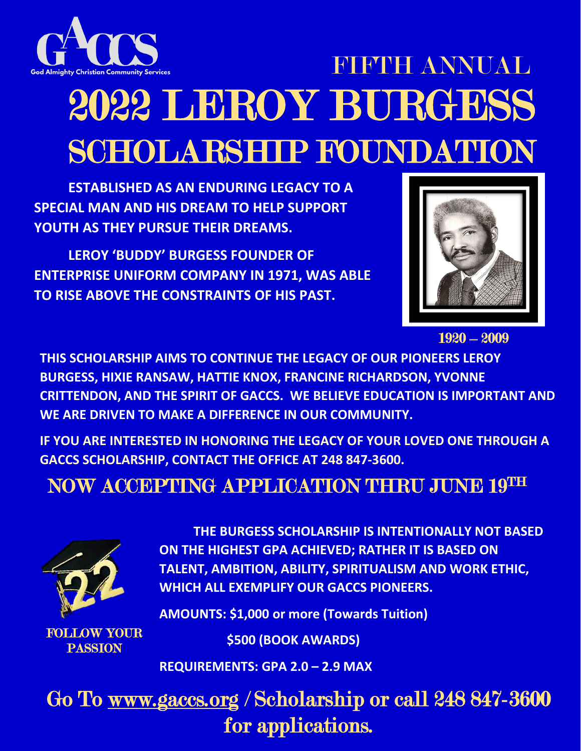

# 2022 LEROY BURGESS SCHOLARSHIP FOUNDATION **FIFTHE ANNUAL**

**ESTABLISHED AS AN ENDURING LEGACY TO A SPECIAL MAN AND HIS DREAM TO HELP SUPPORT YOUTH AS THEY PURSUE THEIR DREAMS.** 

**LEROY 'BUDDY' BURGESS FOUNDER OF ENTERPRISE UNIFORM COMPANY IN 1971, WAS ABLE TO RISE ABOVE THE CONSTRAINTS OF HIS PAST.**



1920 – 2009

**THIS SCHOLARSHIP AIMS TO CONTINUE THE LEGACY OF OUR PIONEERS LEROY BURGESS, HIXIE RANSAW, HATTIE KNOX, FRANCINE RICHARDSON, YVONNE CRITTENDON, AND THE SPIRIT OF GACCS. WE BELIEVE EDUCATION IS IMPORTANT AND WE ARE DRIVEN TO MAKE A DIFFERENCE IN OUR COMMUNITY.** 

**IF YOU ARE INTERESTED IN HONORING THE LEGACY OF YOUR LOVED ONE THROUGH A GACCS SCHOLARSHIP, CONTACT THE OFFICE AT 248 847-3600.** 

### NOW ACCEPTING APPLICATION THRU JUNE 19TH



**THE BURGESS SCHOLARSHIP IS INTENTIONALLY NOT BASED ON THE HIGHEST GPA ACHIEVED; RATHER IT IS BASED ON TALENT, AMBITION, ABILITY, SPIRITUALISM AND WORK ETHIC, WHICH ALL EXEMPLIFY OUR GACCS PIONEERS.**

FOLLOW YOUR PASSION

**AMOUNTS: \$1,000 or more (Towards Tuition)**

 **\$500 (BOOK AWARDS)**

**REQUIREMENTS: GPA 2.0 – 2.9 MAX** 

Go To [www.gaccs.org](http://www.gaccs.org/) / Scholarship or call 248 847-3600 for applications.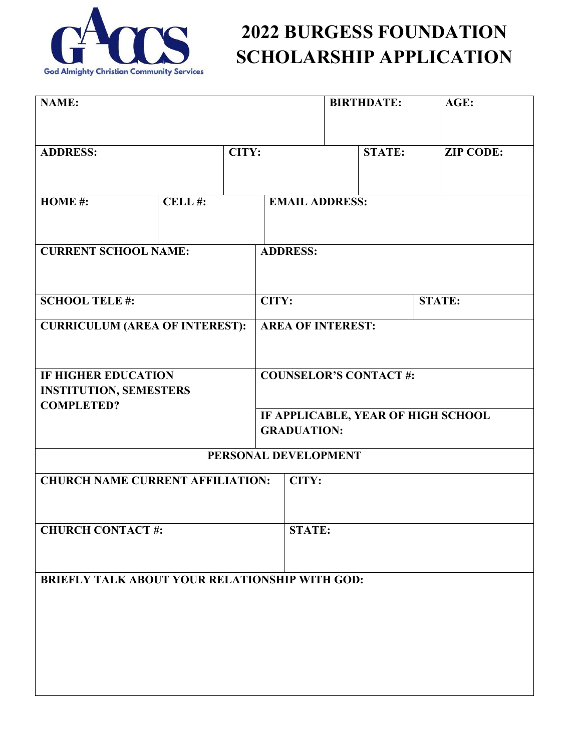

| NAME:                                                 |        |       |                                                          | <b>BIRTHDATE:</b>     |               | AGE:             |  |  |
|-------------------------------------------------------|--------|-------|----------------------------------------------------------|-----------------------|---------------|------------------|--|--|
| <b>ADDRESS:</b>                                       |        | CITY: |                                                          |                       | <b>STATE:</b> | <b>ZIP CODE:</b> |  |  |
| HOME#:                                                | CELL#: |       |                                                          | <b>EMAIL ADDRESS:</b> |               |                  |  |  |
| <b>CURRENT SCHOOL NAME:</b>                           |        |       | <b>ADDRESS:</b>                                          |                       |               |                  |  |  |
| <b>SCHOOL TELE#:</b>                                  |        |       | CITY:                                                    |                       |               | <b>STATE:</b>    |  |  |
| <b>CURRICULUM (AREA OF INTEREST):</b>                 |        |       | <b>AREA OF INTEREST:</b>                                 |                       |               |                  |  |  |
| <b>IF HIGHER EDUCATION</b>                            |        |       | <b>COUNSELOR'S CONTACT#:</b>                             |                       |               |                  |  |  |
| <b>INSTITUTION, SEMESTERS</b><br><b>COMPLETED?</b>    |        |       |                                                          |                       |               |                  |  |  |
|                                                       |        |       | IF APPLICABLE, YEAR OF HIGH SCHOOL<br><b>GRADUATION:</b> |                       |               |                  |  |  |
| PERSONAL DEVELOPMENT                                  |        |       |                                                          |                       |               |                  |  |  |
| <b>CHURCH NAME CURRENT AFFILIATION:</b>               |        |       | CITY:                                                    |                       |               |                  |  |  |
| <b>CHURCH CONTACT#:</b>                               |        |       | <b>STATE:</b>                                            |                       |               |                  |  |  |
| <b>BRIEFLY TALK ABOUT YOUR RELATIONSHIP WITH GOD:</b> |        |       |                                                          |                       |               |                  |  |  |
|                                                       |        |       |                                                          |                       |               |                  |  |  |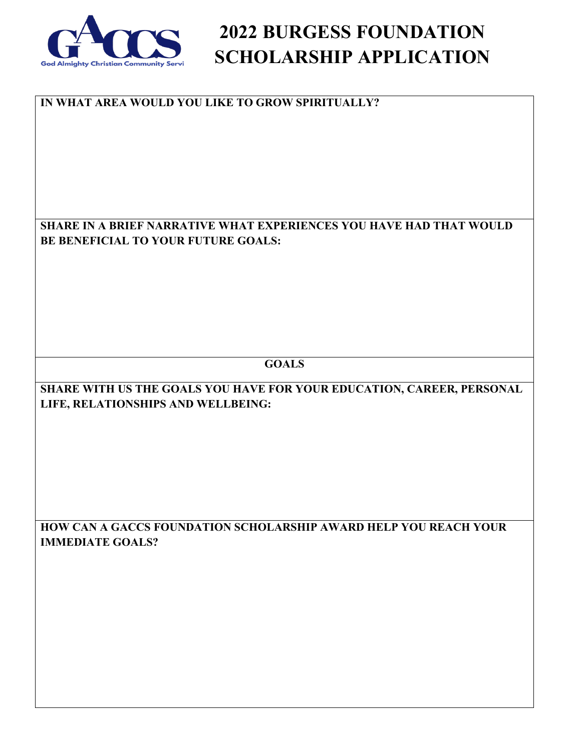

#### **IN WHAT AREA WOULD YOU LIKE TO GROW SPIRITUALLY?**

**SHARE IN A BRIEF NARRATIVE WHAT EXPERIENCES YOU HAVE HAD THAT WOULD BE BENEFICIAL TO YOUR FUTURE GOALS:**

**GOALS**

**SHARE WITH US THE GOALS YOU HAVE FOR YOUR EDUCATION, CAREER, PERSONAL LIFE, RELATIONSHIPS AND WELLBEING:**

**HOW CAN A GACCS FOUNDATION SCHOLARSHIP AWARD HELP YOU REACH YOUR IMMEDIATE GOALS?**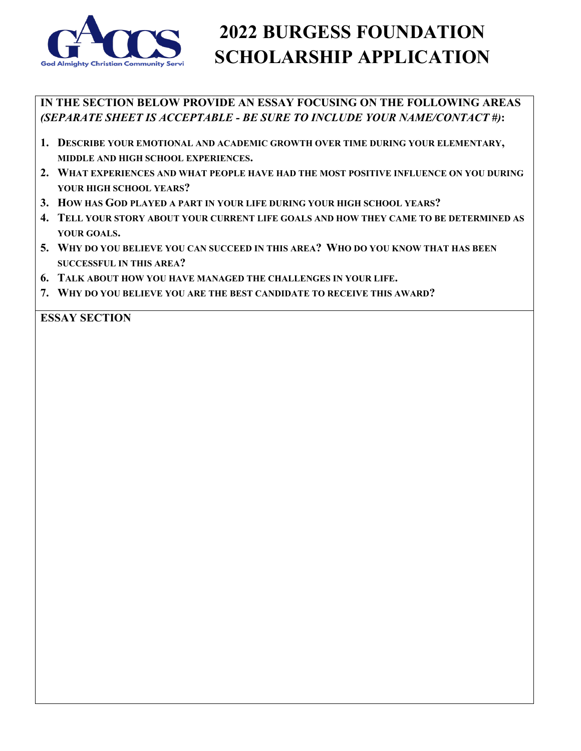

**IN THE SECTION BELOW PROVIDE AN ESSAY FOCUSING ON THE FOLLOWING AREAS** *(SEPARATE SHEET IS ACCEPTABLE - BE SURE TO INCLUDE YOUR NAME/CONTACT #)***:**

- **1. DESCRIBE YOUR EMOTIONAL AND ACADEMIC GROWTH OVER TIME DURING YOUR ELEMENTARY, MIDDLE AND HIGH SCHOOL EXPERIENCES.**
- **2. WHAT EXPERIENCES AND WHAT PEOPLE HAVE HAD THE MOST POSITIVE INFLUENCE ON YOU DURING YOUR HIGH SCHOOL YEARS?**
- **3. HOW HAS GOD PLAYED A PART IN YOUR LIFE DURING YOUR HIGH SCHOOL YEARS?**
- **4. TELL YOUR STORY ABOUT YOUR CURRENT LIFE GOALS AND HOW THEY CAME TO BE DETERMINED AS YOUR GOALS.**
- **5. WHY DO YOU BELIEVE YOU CAN SUCCEED IN THIS AREA? WHO DO YOU KNOW THAT HAS BEEN SUCCESSFUL IN THIS AREA?**
- **6. TALK ABOUT HOW YOU HAVE MANAGED THE CHALLENGES IN YOUR LIFE.**
- **7. WHY DO YOU BELIEVE YOU ARE THE BEST CANDIDATE TO RECEIVE THIS AWARD?**

**ESSAY SECTION**